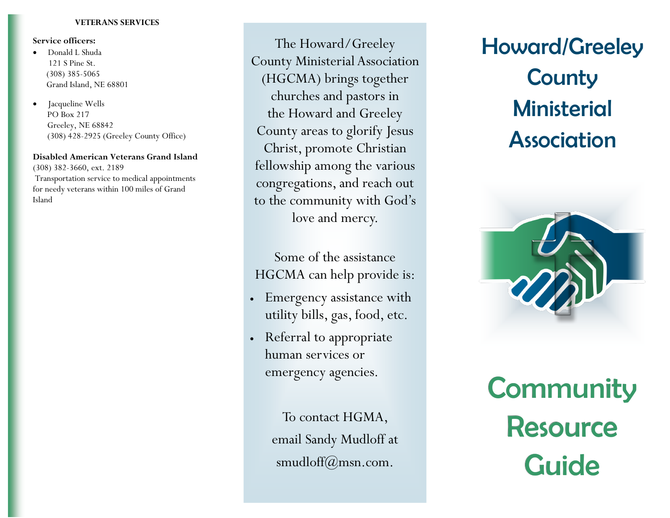## **VETERANS SERVICES**

## **Service officers:**

- Donald L Shuda 121 S Pine St. (308) 385-5065 Grand Island, NE 68801
- Jacqueline Wells PO Box 217 Greeley, NE 68842 (308) 428-2925 (Greeley County Office)

## **Disabled American Veterans Grand Island**

(308) 382-3660, ext. 2189 Transportation service to medical appointments for needy veterans within 100 miles of Grand Island

The Howard/Greeley County Ministerial Association (HGCMA) brings together churches and pastors in the Howard and Greeley County areas to glorify Jesus Christ, promote Christian fellowship among the various congregations, and reach out to the community with God's love and mercy.

Some of the assistance HGCMA can help provide is:

- Emergency assistance with utility bills, gas, food, etc.
- Referral to appropriate human services or emergency agencies.

To contact HGMA, email Sandy Mudloff at smudloff $(\omega)$ msn.com.

# Howard/Greeley **County Ministerial Association**



**Community** Resource **Guide**